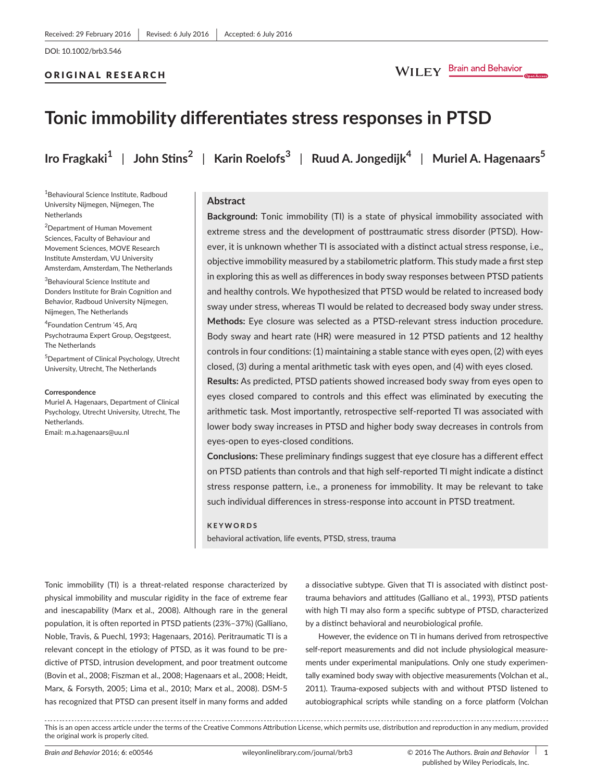#### ORIGINAL RESEARCH



# **Tonic immobility differentiates stress responses in PTSD**

**Iro Fragkaki<sup>1</sup>** | **John Stins<sup>2</sup>** | **Karin Roelofs<sup>3</sup>** | **Ruud A. Jongedijk<sup>4</sup>** | **Muriel A. Hagenaars<sup>5</sup>**

1 Behavioural Science Institute, Radboud University Nijmegen, Nijmegen, The **Netherlands** 

2 Department of Human Movement Sciences, Faculty of Behaviour and Movement Sciences, MOVE Research Institute Amsterdam, VU University Amsterdam, Amsterdam, The Netherlands

<sup>3</sup>Behavioural Science Institute and Donders Institute for Brain Cognition and Behavior, Radboud University Nijmegen, Nijmegen, The Netherlands

4 Foundation Centrum '45, Arq Psychotrauma Expert Group, Oegstgeest, The Netherlands

5 Department of Clinical Psychology, Utrecht University, Utrecht, The Netherlands

#### **Correspondence**

Muriel A. Hagenaars, Department of Clinical Psychology, Utrecht University, Utrecht, The Netherlands. Email: [m.a.hagenaars@uu.nl](mailto:m.a.hagenaars@uu.nl)

## **Abstract**

**Background:** Tonic immobility (TI) is a state of physical immobility associated with extreme stress and the development of posttraumatic stress disorder (PTSD). However, it is unknown whether TI is associated with a distinct actual stress response, i.e., objective immobility measured by a stabilometric platform. This study made a first step in exploring this as well as differences in body sway responses between PTSD patients and healthy controls. We hypothesized that PTSD would be related to increased body sway under stress, whereas TI would be related to decreased body sway under stress. **Methods:** Eye closure was selected as a PTSD-relevant stress induction procedure. Body sway and heart rate (HR) were measured in 12 PTSD patients and 12 healthy controls in four conditions: (1) maintaining a stable stance with eyes open, (2) with eyes closed, (3) during a mental arithmetic task with eyes open, and (4) with eyes closed.

**Results:** As predicted, PTSD patients showed increased body sway from eyes open to eyes closed compared to controls and this effect was eliminated by executing the arithmetic task. Most importantly, retrospective self-reported TI was associated with lower body sway increases in PTSD and higher body sway decreases in controls from eyes-open to eyes-closed conditions.

**Conclusions:** These preliminary findings suggest that eye closure has a different effect on PTSD patients than controls and that high self-reported TI might indicate a distinct stress response pattern, i.e., a proneness for immobility. It may be relevant to take such individual differences in stress-response into account in PTSD treatment.

#### **KEYWORDS**

behavioral activation, life events, PTSD, stress, trauma

Tonic immobility (TI) is a threat-related response characterized by physical immobility and muscular rigidity in the face of extreme fear and inescapability (Marx et al., 2008). Although rare in the general population, it is often reported in PTSD patients (23%–37%) (Galliano, Noble, Travis, & Puechl, 1993; Hagenaars, 2016). Peritraumatic TI is a relevant concept in the etiology of PTSD, as it was found to be predictive of PTSD, intrusion development, and poor treatment outcome (Bovin et al., 2008; Fiszman et al., 2008; Hagenaars et al., 2008; Heidt, Marx, & Forsyth, 2005; Lima et al., 2010; Marx et al., 2008). DSM-5 has recognized that PTSD can present itself in many forms and added

a dissociative subtype. Given that TI is associated with distinct posttrauma behaviors and attitudes (Galliano et al., 1993), PTSD patients with high TI may also form a specific subtype of PTSD, characterized by a distinct behavioral and neurobiological profile.

However, the evidence on TI in humans derived from retrospective self-report measurements and did not include physiological measurements under experimental manipulations. Only one study experimentally examined body sway with objective measurements (Volchan et al., 2011). Trauma-exposed subjects with and without PTSD listened to autobiographical scripts while standing on a force platform (Volchan

This is an open access article under the terms of the [Creative Commons Attribution](http://creativecommons.org/licenses/by/4.0/) License, which permits use, distribution and reproduction in any medium, provided the original work is properly cited.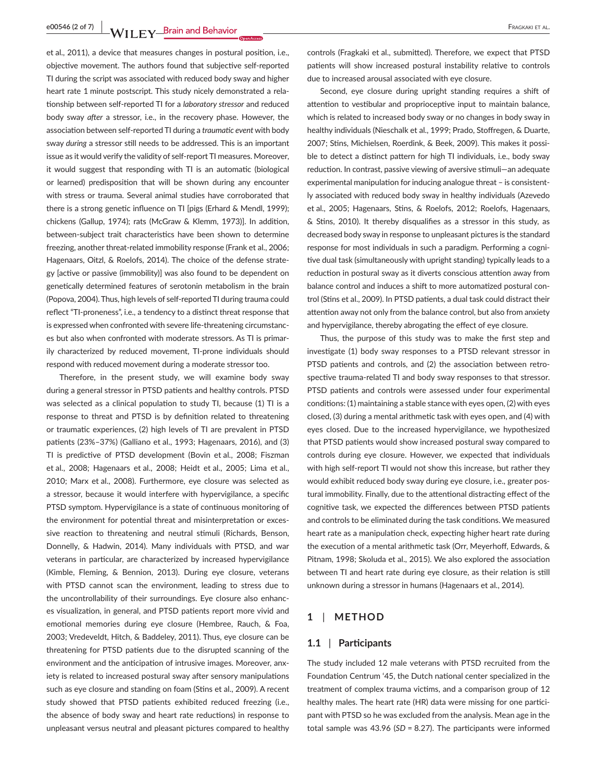**e00546 (2 of 7) |**  Fragkaki et al.

et al., 2011), a device that measures changes in postural position, i.e., objective movement. The authors found that subjective self-reported TI during the script was associated with reduced body sway and higher heart rate 1 minute postscript. This study nicely demonstrated a relationship between self-reported TI for a *laboratory stressor* and reduced body sway *after* a stressor, i.e., in the recovery phase. However, the association between self-reported TI during a *traumatic event* with body sway *during* a stressor still needs to be addressed. This is an important issue as it would verify the validity of self-report TI measures. Moreover, it would suggest that responding with TI is an automatic (biological or learned) predisposition that will be shown during any encounter with stress or trauma. Several animal studies have corroborated that there is a strong genetic influence on TI [pigs (Erhard & Mendl, 1999); chickens (Gallup, 1974); rats (McGraw & Klemm, 1973)]. In addition, between-subject trait characteristics have been shown to determine freezing, another threat-related immobility response (Frank et al., 2006; Hagenaars, Oitzl, & Roelofs, 2014). The choice of the defense strategy [active or passive (immobility)] was also found to be dependent on genetically determined features of serotonin metabolism in the brain (Popova, 2004). Thus, high levels of self-reported TI during trauma could reflect "TI-proneness", i.e., a tendency to a distinct threat response that is expressed when confronted with severe life-threatening circumstances but also when confronted with moderate stressors. As TI is primarily characterized by reduced movement, TI-prone individuals should respond with reduced movement during a moderate stressor too.

Therefore, in the present study, we will examine body sway during a general stressor in PTSD patients and healthy controls. PTSD was selected as a clinical population to study TI, because (1) TI is a response to threat and PTSD is by definition related to threatening or traumatic experiences, (2) high levels of TI are prevalent in PTSD patients (23%–37%) (Galliano et al., 1993; Hagenaars, 2016), and (3) TI is predictive of PTSD development (Bovin et al., 2008; Fiszman et al., 2008; Hagenaars et al., 2008; Heidt et al., 2005; Lima et al., 2010; Marx et al., 2008). Furthermore, eye closure was selected as a stressor, because it would interfere with hypervigilance, a specific PTSD symptom. Hypervigilance is a state of continuous monitoring of the environment for potential threat and misinterpretation or excessive reaction to threatening and neutral stimuli (Richards, Benson, Donnelly, & Hadwin, 2014). Many individuals with PTSD, and war veterans in particular, are characterized by increased hypervigilance (Kimble, Fleming, & Bennion, 2013). During eye closure, veterans with PTSD cannot scan the environment, leading to stress due to the uncontrollability of their surroundings. Eye closure also enhances visualization, in general, and PTSD patients report more vivid and emotional memories during eye closure (Hembree, Rauch, & Foa, 2003; Vredeveldt, Hitch, & Baddeley, 2011). Thus, eye closure can be threatening for PTSD patients due to the disrupted scanning of the environment and the anticipation of intrusive images. Moreover, anxiety is related to increased postural sway after sensory manipulations such as eye closure and standing on foam (Stins et al., 2009). A recent study showed that PTSD patients exhibited reduced freezing (i.e., the absence of body sway and heart rate reductions) in response to unpleasant versus neutral and pleasant pictures compared to healthy

controls (Fragkaki et al., submitted). Therefore, we expect that PTSD patients will show increased postural instability relative to controls due to increased arousal associated with eye closure.

Second, eye closure during upright standing requires a shift of attention to vestibular and proprioceptive input to maintain balance, which is related to increased body sway or no changes in body sway in healthy individuals (Nieschalk et al., 1999; Prado, Stoffregen, & Duarte, 2007; Stins, Michielsen, Roerdink, & Beek, 2009). This makes it possible to detect a distinct pattern for high TI individuals, i.e., body sway reduction. In contrast, passive viewing of aversive stimuli—an adequate experimental manipulation for inducing analogue threat – is consistently associated with reduced body sway in healthy individuals (Azevedo et al., 2005; Hagenaars, Stins, & Roelofs, 2012; Roelofs, Hagenaars, & Stins, 2010). It thereby disqualifies as a stressor in this study, as decreased body sway in response to unpleasant pictures is the standard response for most individuals in such a paradigm. Performing a cognitive dual task (simultaneously with upright standing) typically leads to a reduction in postural sway as it diverts conscious attention away from balance control and induces a shift to more automatized postural control (Stins et al., 2009). In PTSD patients, a dual task could distract their attention away not only from the balance control, but also from anxiety and hypervigilance, thereby abrogating the effect of eye closure.

Thus, the purpose of this study was to make the first step and investigate (1) body sway responses to a PTSD relevant stressor in PTSD patients and controls, and (2) the association between retrospective trauma-related TI and body sway responses to that stressor. PTSD patients and controls were assessed under four experimental conditions: (1) maintaining a stable stance with eyes open, (2) with eyes closed, (3) during a mental arithmetic task with eyes open, and (4) with eyes closed. Due to the increased hypervigilance, we hypothesized that PTSD patients would show increased postural sway compared to controls during eye closure. However, we expected that individuals with high self-report TI would not show this increase, but rather they would exhibit reduced body sway during eye closure, i.e., greater postural immobility. Finally, due to the attentional distracting effect of the cognitive task, we expected the differences between PTSD patients and controls to be eliminated during the task conditions. We measured heart rate as a manipulation check, expecting higher heart rate during the execution of a mental arithmetic task (Orr, Meyerhoff, Edwards, & Pitnam, 1998; Skoluda et al., 2015). We also explored the association between TI and heart rate during eye closure, as their relation is still unknown during a stressor in humans (Hagenaars et al., 2014).

## **1** | **METHOD**

#### **1.1** | **Participants**

The study included 12 male veterans with PTSD recruited from the Foundation Centrum '45, the Dutch national center specialized in the treatment of complex trauma victims, and a comparison group of 12 healthy males. The heart rate (HR) data were missing for one participant with PTSD so he was excluded from the analysis. Mean age in the total sample was 43.96 (*SD* = 8.27). The participants were informed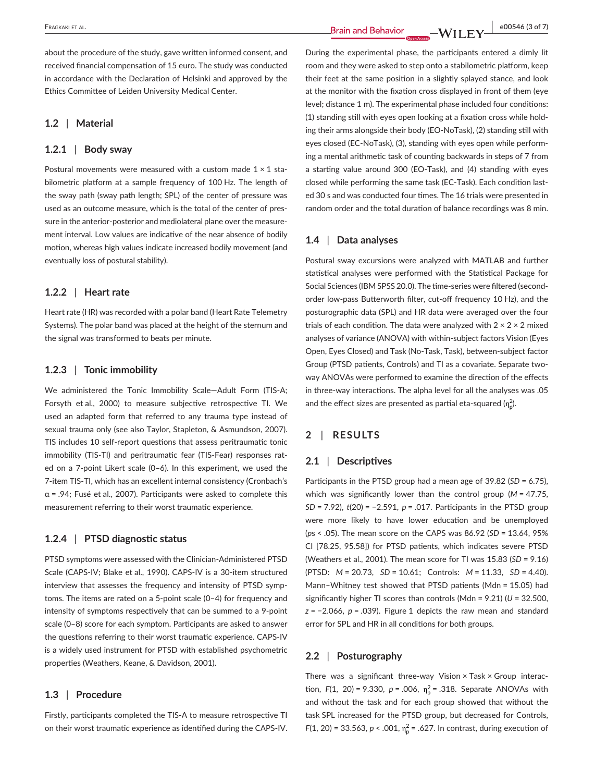about the procedure of the study, gave written informed consent, and received financial compensation of 15 euro. The study was conducted in accordance with the Declaration of Helsinki and approved by the Ethics Committee of Leiden University Medical Center.

#### **1.2** | **Material**

#### **1.2.1** | **Body sway**

Postural movements were measured with a custom made  $1 \times 1$  stabilometric platform at a sample frequency of 100 Hz. The length of the sway path (sway path length; SPL) of the center of pressure was used as an outcome measure, which is the total of the center of pressure in the anterior-posterior and mediolateral plane over the measurement interval. Low values are indicative of the near absence of bodily motion, whereas high values indicate increased bodily movement (and eventually loss of postural stability).

### **1.2.2** | **Heart rate**

Heart rate (HR) was recorded with a polar band (Heart Rate Telemetry Systems). The polar band was placed at the height of the sternum and the signal was transformed to beats per minute.

### **1.2.3** | **Tonic immobility**

We administered the Tonic Immobility Scale—Adult Form (TIS-A; Forsyth et al., 2000) to measure subjective retrospective TI. We used an adapted form that referred to any trauma type instead of sexual trauma only (see also Taylor, Stapleton, & Asmundson, 2007). TIS includes 10 self-report questions that assess peritraumatic tonic immobility (TIS-TI) and peritraumatic fear (TIS-Fear) responses rated on a 7-point Likert scale (0–6). In this experiment, we used the 7-item TIS-TI, which has an excellent internal consistency (Cronbach's α = .94; Fusé et al., 2007). Participants were asked to complete this measurement referring to their worst traumatic experience.

#### **1.2.4** | **PTSD diagnostic status**

PTSD symptoms were assessed with the Clinician-Administered PTSD Scale (CAPS-IV; Blake et al., 1990). CAPS-IV is a 30-item structured interview that assesses the frequency and intensity of PTSD symptoms. The items are rated on a 5-point scale (0–4) for frequency and intensity of symptoms respectively that can be summed to a 9-point scale (0–8) score for each symptom. Participants are asked to answer the questions referring to their worst traumatic experience. CAPS-IV is a widely used instrument for PTSD with established psychometric properties (Weathers, Keane, & Davidson, 2001).

#### **1.3** | **Procedure**

Firstly, participants completed the TIS-A to measure retrospective TI on their worst traumatic experience as identified during the CAPS-IV.

During the experimental phase, the participants entered a dimly lit room and they were asked to step onto a stabilometric platform, keep their feet at the same position in a slightly splayed stance, and look at the monitor with the fixation cross displayed in front of them (eye level; distance 1 m). The experimental phase included four conditions: (1) standing still with eyes open looking at a fixation cross while holding their arms alongside their body (EO-NoTask), (2) standing still with eyes closed (EC-NoTask), (3), standing with eyes open while performing a mental arithmetic task of counting backwards in steps of 7 from a starting value around 300 (EO-Task), and (4) standing with eyes closed while performing the same task (EC-Task). Each condition lasted 30 s and was conducted four times. The 16 trials were presented in random order and the total duration of balance recordings was 8 min.

### **1.4** | **Data analyses**

Postural sway excursions were analyzed with MATLAB and further statistical analyses were performed with the Statistical Package for Social Sciences (IBM SPSS 20.0). The time-series were filtered (secondorder low-pass Butterworth filter, cut-off frequency 10 Hz), and the posturographic data (SPL) and HR data were averaged over the four trials of each condition. The data were analyzed with  $2 \times 2 \times 2$  mixed analyses of variance (ANOVA) with within-subject factors Vision (Eyes Open, Eyes Closed) and Task (No-Task, Task), between-subject factor Group (PTSD patients, Controls) and TI as a covariate. Separate twoway ANOVAs were performed to examine the direction of the effects in three-way interactions. The alpha level for all the analyses was .05 and the effect sizes are presented as partial eta-squared ( $\eta_p^2$ ).

## **2** | **RESULTS**

#### **2.1** | **Descriptives**

Participants in the PTSD group had a mean age of 39.82 (*SD* = 6.75), which was significantly lower than the control group (*M* = 47.75, *SD* = 7.92), *t*(20) = −2.591, *p* = .017. Participants in the PTSD group were more likely to have lower education and be unemployed (*p*s < .05). The mean score on the CAPS was 86.92 (*SD* = 13.64, 95% CI [78.25, 95.58]) for PTSD patients, which indicates severe PTSD (Weathers et al., 2001). The mean score for TI was 15.83 (*SD* = 9.16) (PTSD: *M* = 20.73, *SD* = 10.61; Controls: *M* = 11.33, *SD* = 4.40). Mann–Whitney test showed that PTSD patients (Mdn = 15.05) had significantly higher TI scores than controls (Mdn = 9.21) (*U* = 32.500, *z* = −2.066, *p* = .039). Figure 1 depicts the raw mean and standard error for SPL and HR in all conditions for both groups.

#### **2.2** | **Posturography**

There was a significant three-way Vision × Task × Group interaction,  $F(1, 20) = 9.330$ ,  $p = .006$ ,  $\eta_p^2 = .318$ . Separate ANOVAs with and without the task and for each group showed that without the task SPL increased for the PTSD group, but decreased for Controls, *F*(1, 20) = 33.563, *p* < .001,  $\eta_p^2$  = .627. In contrast, during execution of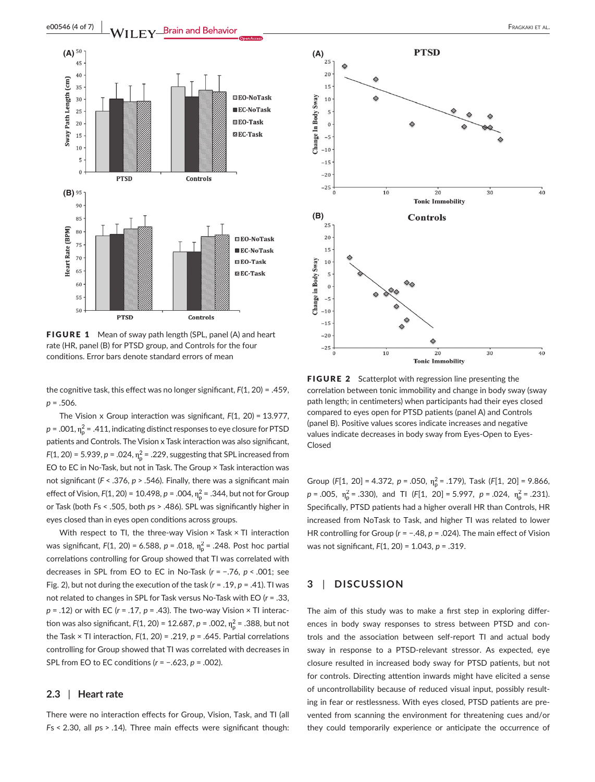

FIGURE 1 Mean of sway path length (SPL, panel (A) and heart rate (HR, panel (B) for PTSD group, and Controls for the four conditions. Error bars denote standard errors of mean

the cognitive task, this effect was no longer significant, *F*(1, 20) = .459, *p* = .506.

The Vision x Group interaction was significant, *F*(1, 20) = 13.977,  $p$  = .001,  $\eta_{\textsf{p}}^2$  = .411, indicating distinct responses to eye closure for PTSD patients and Controls. The Vision x Task interaction was also significant, *F*(1, 20) = 5.939, *p* = .024,  $\eta_p^2$  = .229, suggesting that SPL increased from EO to EC in No-Task, but not in Task. The Group × Task interaction was not significant (*F* < .376, *p* > .546). Finally, there was a significant main effect of Vision, *F*(1, 20) = 10.498, *p* = .004, η<sub>ρ</sub><sup>2</sup> = .344, but not for Group or Task (both *F*s < .505, both *p*s > .486). SPL was significantly higher in eyes closed than in eyes open conditions across groups.

With respect to TI, the three-way Vision × Task × TI interaction was significant, *F*(1, 20) = 6.588, *p* = .018, η<sub>ρ</sub><sup>2</sup> = .248. Post hoc partial correlations controlling for Group showed that TI was correlated with decreases in SPL from EO to EC in No-Task (*r* = −.76, *p* < .001; see Fig. 2), but not during the execution of the task (*r* = .19, *p* = .41). TI was not related to changes in SPL for Task versus No-Task with EO (*r* = .33, *p* = .12) or with EC (*r* = .17, *p* = .43). The two-way Vision × TI interaction was also significant, *F*(1, 20) = 12.687, *p* = .002, η<sub>ρ</sub><sup>2</sup> = .388, but not the Task  $\times$  TI interaction,  $F(1, 20) = .219$ ,  $p = .645$ . Partial correlations controlling for Group showed that TI was correlated with decreases in SPL from EO to EC conditions (*r* = −.623, *p* = .002).

#### **2.3** | **Heart rate**

There were no interaction effects for Group, Vision, Task, and TI (all *F*s < 2.30, all *p*s > .14). Three main effects were significant though:



FIGURE 2 Scatterplot with regression line presenting the correlation between tonic immobility and change in body sway (sway path length; in centimeters) when participants had their eyes closed compared to eyes open for PTSD patients (panel A) and Controls (panel B). Positive values scores indicate increases and negative values indicate decreases in body sway from Eyes-Open to Eyes-Closed

Group (F[1, 20] = 4.372,  $p = .050$ ,  $\eta_p^2 = .179$ ), Task (F[1, 20] = 9.866,  $p = .005, \eta_p^2 = .330$ , and TI (*F*[1, 20] = 5.997,  $p = .024, \eta_p^2 = .231$ ). Specifically, PTSD patients had a higher overall HR than Controls, HR increased from NoTask to Task, and higher TI was related to lower HR controlling for Group (*r* = −.48, *p* = .024). The main effect of Vision was not significant, *F*(1, 20) = 1.043, *p* = .319.

## **3** | **DISCUSSION**

The aim of this study was to make a first step in exploring differences in body sway responses to stress between PTSD and controls and the association between self-report TI and actual body sway in response to a PTSD-relevant stressor. As expected, eye closure resulted in increased body sway for PTSD patients, but not for controls. Directing attention inwards might have elicited a sense of uncontrollability because of reduced visual input, possibly resulting in fear or restlessness. With eyes closed, PTSD patients are prevented from scanning the environment for threatening cues and/or they could temporarily experience or anticipate the occurrence of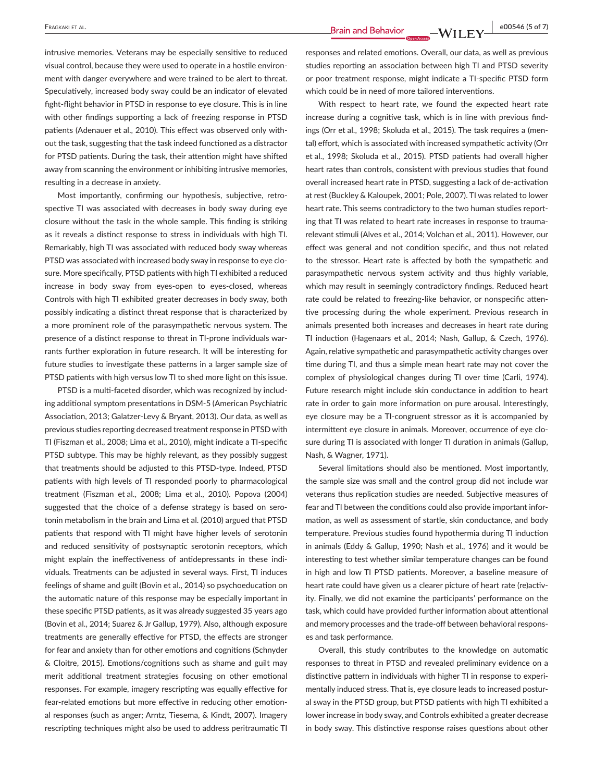intrusive memories. Veterans may be especially sensitive to reduced visual control, because they were used to operate in a hostile environment with danger everywhere and were trained to be alert to threat. Speculatively, increased body sway could be an indicator of elevated fight-flight behavior in PTSD in response to eye closure. This is in line with other findings supporting a lack of freezing response in PTSD patients (Adenauer et al., 2010). This effect was observed only without the task, suggesting that the task indeed functioned as a distractor for PTSD patients. During the task, their attention might have shifted away from scanning the environment or inhibiting intrusive memories, resulting in a decrease in anxiety.

Most importantly, confirming our hypothesis, subjective, retrospective TI was associated with decreases in body sway during eye closure without the task in the whole sample. This finding is striking as it reveals a distinct response to stress in individuals with high TI. Remarkably, high TI was associated with reduced body sway whereas PTSD was associated with increased body sway in response to eye closure. More specifically, PTSD patients with high TI exhibited a reduced increase in body sway from eyes-open to eyes-closed, whereas Controls with high TI exhibited greater decreases in body sway, both possibly indicating a distinct threat response that is characterized by a more prominent role of the parasympathetic nervous system. The presence of a distinct response to threat in TI-prone individuals warrants further exploration in future research. It will be interesting for future studies to investigate these patterns in a larger sample size of PTSD patients with high versus low TI to shed more light on this issue.

PTSD is a multi-faceted disorder, which was recognized by including additional symptom presentations in DSM-5 (American Psychiatric Association, 2013; Galatzer-Levy & Bryant, 2013). Our data, as well as previous studies reporting decreased treatment response in PTSD with TI (Fiszman et al., 2008; Lima et al., 2010), might indicate a TI-specific PTSD subtype. This may be highly relevant, as they possibly suggest that treatments should be adjusted to this PTSD-type. Indeed, PTSD patients with high levels of TI responded poorly to pharmacological treatment (Fiszman et al., 2008; Lima et al., 2010). Popova (2004) suggested that the choice of a defense strategy is based on serotonin metabolism in the brain and Lima et al. (2010) argued that PTSD patients that respond with TI might have higher levels of serotonin and reduced sensitivity of postsynaptic serotonin receptors, which might explain the ineffectiveness of antidepressants in these individuals. Treatments can be adjusted in several ways. First, TI induces feelings of shame and guilt (Bovin et al., 2014) so psychoeducation on the automatic nature of this response may be especially important in these specific PTSD patients, as it was already suggested 35 years ago (Bovin et al., 2014; Suarez & Jr Gallup, 1979). Also, although exposure treatments are generally effective for PTSD, the effects are stronger for fear and anxiety than for other emotions and cognitions (Schnyder & Cloitre, 2015). Emotions/cognitions such as shame and guilt may merit additional treatment strategies focusing on other emotional responses. For example, imagery rescripting was equally effective for fear-related emotions but more effective in reducing other emotional responses (such as anger; Arntz, Tiesema, & Kindt, 2007). Imagery rescripting techniques might also be used to address peritraumatic TI responses and related emotions. Overall, our data, as well as previous studies reporting an association between high TI and PTSD severity or poor treatment response, might indicate a TI-specific PTSD form which could be in need of more tailored interventions.

With respect to heart rate, we found the expected heart rate increase during a cognitive task, which is in line with previous findings (Orr et al., 1998; Skoluda et al., 2015). The task requires a (mental) effort, which is associated with increased sympathetic activity (Orr et al., 1998; Skoluda et al., 2015). PTSD patients had overall higher heart rates than controls, consistent with previous studies that found overall increased heart rate in PTSD, suggesting a lack of de-activation at rest (Buckley & Kaloupek, 2001; Pole, 2007). TI was related to lower heart rate. This seems contradictory to the two human studies reporting that TI was related to heart rate increases in response to traumarelevant stimuli (Alves et al., 2014; Volchan et al., 2011). However, our effect was general and not condition specific, and thus not related to the stressor. Heart rate is affected by both the sympathetic and parasympathetic nervous system activity and thus highly variable, which may result in seemingly contradictory findings. Reduced heart rate could be related to freezing-like behavior, or nonspecific attentive processing during the whole experiment. Previous research in animals presented both increases and decreases in heart rate during TI induction (Hagenaars et al., 2014; Nash, Gallup, & Czech, 1976). Again, relative sympathetic and parasympathetic activity changes over time during TI, and thus a simple mean heart rate may not cover the complex of physiological changes during TI over time (Carli, 1974). Future research might include skin conductance in addition to heart rate in order to gain more information on pure arousal. Interestingly, eye closure may be a TI-congruent stressor as it is accompanied by intermittent eye closure in animals. Moreover, occurrence of eye closure during TI is associated with longer TI duration in animals (Gallup, Nash, & Wagner, 1971).

Several limitations should also be mentioned. Most importantly, the sample size was small and the control group did not include war veterans thus replication studies are needed. Subjective measures of fear and TI between the conditions could also provide important information, as well as assessment of startle, skin conductance, and body temperature. Previous studies found hypothermia during TI induction in animals (Eddy & Gallup, 1990; Nash et al., 1976) and it would be interesting to test whether similar temperature changes can be found in high and low TI PTSD patients. Moreover, a baseline measure of heart rate could have given us a clearer picture of heart rate (re)activity. Finally, we did not examine the participants' performance on the task, which could have provided further information about attentional and memory processes and the trade-off between behavioral responses and task performance.

Overall, this study contributes to the knowledge on automatic responses to threat in PTSD and revealed preliminary evidence on a distinctive pattern in individuals with higher TI in response to experimentally induced stress. That is, eye closure leads to increased postural sway in the PTSD group, but PTSD patients with high TI exhibited a lower increase in body sway, and Controls exhibited a greater decrease in body sway. This distinctive response raises questions about other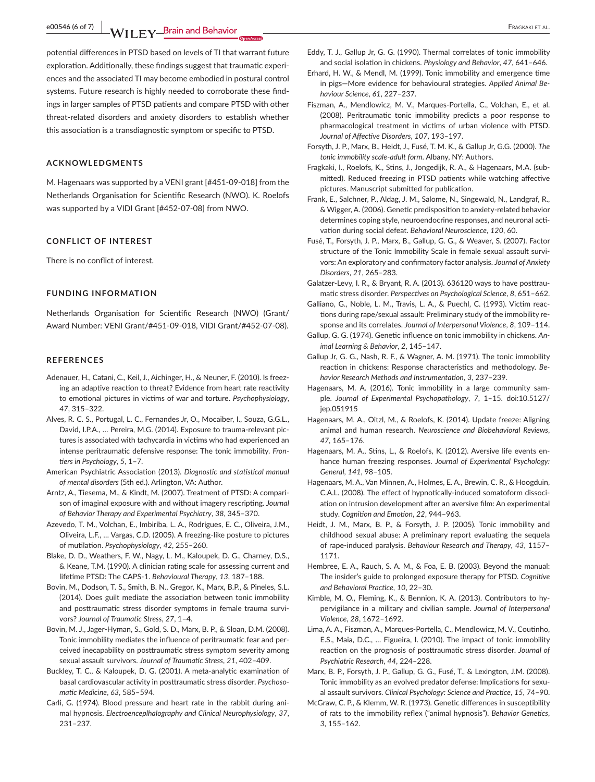**e00546 (6 of 7) |**  Fragkaki et al.

potential differences in PTSD based on levels of TI that warrant future exploration. Additionally, these findings suggest that traumatic experiences and the associated TI may become embodied in postural control systems. Future research is highly needed to corroborate these findings in larger samples of PTSD patients and compare PTSD with other threat-related disorders and anxiety disorders to establish whether this association is a transdiagnostic symptom or specific to PTSD.

## **ACKNOWLEDGMENTS**

M. Hagenaars was supported by a VENI grant [#451-09-018] from the Netherlands Organisation for Scientific Research (NWO). K. Roelofs was supported by a VIDI Grant [#452-07-08] from NWO.

#### **CONFLICT OF INTEREST**

There is no conflict of interest.

#### **FUNDING INFORMATION**

Netherlands Organisation for Scientific Research (NWO) (Grant/ Award Number: VENI Grant/#451-09-018, VIDI Grant/#452-07-08).

#### **REFERENCES**

- Adenauer, H., Catani, C., Keil, J., Aichinger, H., & Neuner, F. (2010). Is freezing an adaptive reaction to threat? Evidence from heart rate reactivity to emotional pictures in victims of war and torture. *Psychophysiology*, *47*, 315–322.
- Alves, R. C. S., Portugal, L. C., Fernandes Jr, O., Mocaiber, I., Souza, G.G.L., David, I.P.A., … Pereira, M.G. (2014). Exposure to trauma-relevant pictures is associated with tachycardia in victims who had experienced an intense peritraumatic defensive response: The tonic immobility. *Frontiers in Psychology*, *5*, 1–7.
- American Psychiatric Association (2013). *Diagnostic and statistical manual of mental disorders* (5th ed.). Arlington, VA: Author.
- Arntz, A., Tiesema, M., & Kindt, M. (2007). Treatment of PTSD: A comparison of imaginal exposure with and without imagery rescripting. *Journal of Behavior Therapy and Experimental Psychiatry*, *38*, 345–370.
- Azevedo, T. M., Volchan, E., Imbiriba, L. A., Rodrigues, E. C., Oliveira, J.M., Oliveira, L.F., … Vargas, C.D. (2005). A freezing-like posture to pictures of mutilation. *Psychophysiology*, *42*, 255–260.
- Blake, D. D., Weathers, F. W., Nagy, L. M., Kaloupek, D. G., Charney, D.S., & Keane, T.M. (1990). A clinician rating scale for assessing current and lifetime PTSD: The CAPS-1. *Behavioural Therapy*, *13*, 187–188.
- Bovin, M., Dodson, T. S., Smith, B. N., Gregor, K., Marx, B.P., & Pineles, S.L. (2014). Does guilt mediate the association between tonic immobility and posttraumatic stress disorder symptoms in female trauma survivors? *Journal of Traumatic Stress*, *27*, 1–4.
- Bovin, M. J., Jager-Hyman, S., Gold, S. D., Marx, B. P., & Sloan, D.M. (2008). Tonic immobility mediates the influence of peritraumatic fear and perceived inecapability on posttraumatic stress symptom severity among sexual assault survivors. *Journal of Traumatic Stress*, *21*, 402–409.
- Buckley, T. C., & Kaloupek, D. G. (2001). A meta-analytic examination of basal cardiovascular activity in posttraumatic stress disorder. *Psychosomatic Medicine*, *63*, 585–594.
- Carli, G. (1974). Blood pressure and heart rate in the rabbit during animal hypnosis. *Electroenceplhalography and Clinical Neurophysiology*, *37*, 231–237.
- Eddy, T. J., Gallup Jr, G. G. (1990). Thermal correlates of tonic immobility and social isolation in chickens. *Physiology and Behavior*, *47*, 641–646.
- Erhard, H. W., & Mendl, M. (1999). Tonic immobility and emergence time in pigs—More evidence for behavioural strategies. *Applied Animal Behaviour Science*, *61*, 227–237.
- Fiszman, A., Mendlowicz, M. V., Marques-Portella, C., Volchan, E., et al. (2008). Peritraumatic tonic immobility predicts a poor response to pharmacological treatment in victims of urban violence with PTSD. *Journal of Affective Disorders*, *107*, 193–197.
- Forsyth, J. P., Marx, B., Heidt, J., Fusé, T. M. K., & Gallup Jr, G.G. (2000). *The tonic immobility scale-adult form*. Albany, NY: Authors.
- Fragkaki, I., Roelofs, K., Stins, J., Jongedijk, R. A., & Hagenaars, M.A. (submitted). Reduced freezing in PTSD patients while watching affective pictures. Manuscript submitted for publication.
- Frank, E., Salchner, P., Aldag, J. M., Salome, N., Singewald, N., Landgraf, R., & Wigger, A. (2006). Genetic predisposition to anxiety-related behavior determines coping style, neuroendocrine responses, and neuronal activation during social defeat. *Behavioral Neuroscience*, *120*, 60.
- Fusé, T., Forsyth, J. P., Marx, B., Gallup, G. G., & Weaver, S. (2007). Factor structure of the Tonic Immobility Scale in female sexual assault survivors: An exploratory and confirmatory factor analysis. *Journal of Anxiety Disorders*, *21*, 265–283.
- Galatzer-Levy, I. R., & Bryant, R. A. (2013). 636120 ways to have posttraumatic stress disorder. *Perspectives on Psychological Science*, *8*, 651–662.
- Galliano, G., Noble, L. M., Travis, L. A., & Puechl, C. (1993). Victim reactions during rape/sexual assault: Preliminary study of the immobility response and its correlates. *Journal of Interpersonal Violence*, *8*, 109–114.
- Gallup, G. G. (1974). Genetic influence on tonic immobility in chickens. *Animal Learning & Behavior*, *2*, 145–147.
- Gallup Jr, G. G., Nash, R. F., & Wagner, A. M. (1971). The tonic immobility reaction in chickens: Response characteristics and methodology. *Behavior Research Methods and Instrumentation*, *3*, 237–239.
- Hagenaars, M. A. (2016). Tonic immobility in a large community sample. *Journal of Experimental Psychopathology*, *7*, 1–15. doi[:10.5127/](http://dx.doi.org/10.5127/jep.051915) [jep.051915](http://dx.doi.org/10.5127/jep.051915)
- Hagenaars, M. A., Oitzl, M., & Roelofs, K. (2014). Update freeze: Aligning animal and human research. *Neuroscience and Biobehavioral Reviews*, *47*, 165–176.
- Hagenaars, M. A., Stins, L., & Roelofs, K. (2012). Aversive life events enhance human freezing responses. *Journal of Experimental Psychology: General*, *141*, 98–105.
- Hagenaars, M. A., Van Minnen, A., Holmes, E. A., Brewin, C. R., & Hoogduin, C.A.L. (2008). The effect of hypnotically-induced somatoform dissociation on intrusion development after an aversive film: An experimental study. *Cognition and Emotion*, *22*, 944–963.
- Heidt, J. M., Marx, B. P., & Forsyth, J. P. (2005). Tonic immobility and childhood sexual abuse: A preliminary report evaluating the sequela of rape-induced paralysis. *Behaviour Research and Therapy*, *43*, 1157– 1171.
- Hembree, E. A., Rauch, S. A. M., & Foa, E. B. (2003). Beyond the manual: The insider's guide to prolonged exposure therapy for PTSD. *Cognitive and Behavioral Practice*, *10*, 22–30.
- Kimble, M. O., Fleming, K., & Bennion, K. A. (2013). Contributors to hypervigilance in a military and civilian sample. *Journal of Interpersonal Violence*, *28*, 1672–1692.
- Lima, A. A., Fiszman, A., Marques-Portella, C., Mendlowicz, M. V., Coutinho, E.S., Maia, D.C., … Figueira, I. (2010). The impact of tonic immobility reaction on the prognosis of posttraumatic stress disorder. *Journal of Psychiatric Research*, *44*, 224–228.
- Marx, B. P., Forsyth, J. P., Gallup, G. G., Fusé, T., & Lexington, J.M. (2008). Tonic immobility as an evolved predator defense: Implications for sexual assault survivors. *Clinical Psychology: Science and Practice*, *15*, 74–90.
- McGraw, C. P., & Klemm, W. R. (1973). Genetic differences in susceptibility of rats to the immobility reflex ("animal hypnosis"). *Behavior Genetics*, *3*, 155–162.